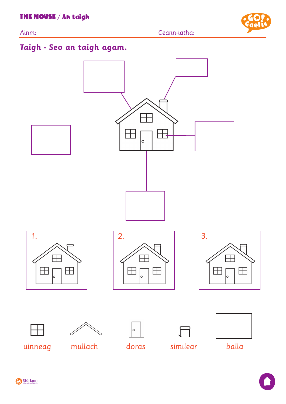Ainm: Ceann-latha:



# **Taigh - Seo an taigh agam.**

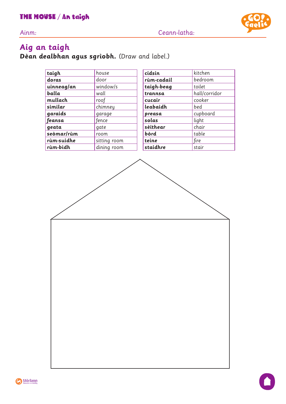Ainm: Ceann-latha:



# **Aig an taigh**

**Dèan dealbhan agus sgrìobh.** (Draw and label.)

| taigh      | house        | cidsin     | kitchen       |
|------------|--------------|------------|---------------|
| doras      | door         | rùm-cadail | bedroom       |
| uinneag/an | window/s     | taigh-beag | toilet        |
| balla      | wall         | trannsa    | hall/corridor |
| mullach    | roof         | cucair     | cooker        |
| similar    | chimney      | leabaidh   | bed           |
| garaids    | garage       | preasa     | cupboard      |
| feansa     | fence        | solas      | light         |
| geata      | gate         | sèithear   | chair         |
| seòmar/rùm | room         | bòrd       | table         |
| rùm-suidhe | sitting room | teine      | fire          |
| rùm-bìdh   | dining room  | staidhre   | stair         |



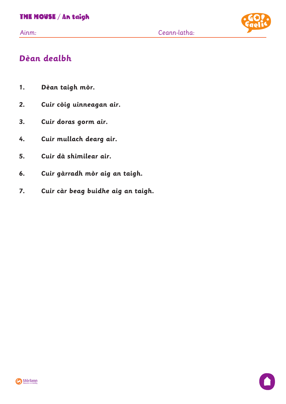

# **Dèan dealbh**

- **1. Dèan taigh mòr.**
- **2. Cuir còig uinneagan air.**
- **3. Cuir doras gorm air.**
- **4. Cuir mullach dearg air.**
- **5. Cuir dà shimilear air.**
- **6. Cuir gàrradh mòr aig an taigh.**
- **7. Cuir càr beag buidhe aig an taigh.**

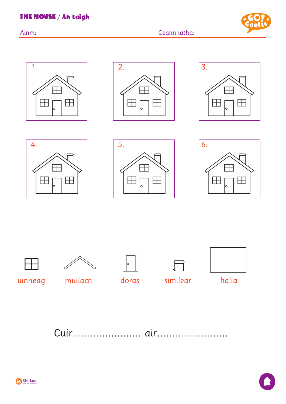

















uinneag mullach



 $\mathcal{F}$ doras similear



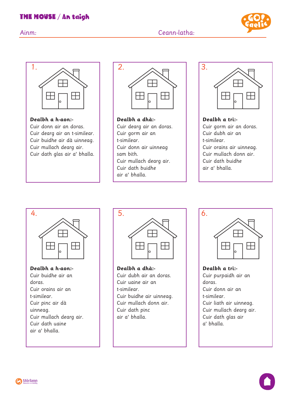### THE HOUSE / An taigh







**Dealbh a h-aon:-** Cuir donn air an doras. Cuir dearg air an t-similear. Cuir buidhe air dà uinneag. Cuir mullach dearg air. Cuir dath glas air a' bhalla.



**Dealbh a dhà:-** Cuir dearg air an doras. Cuir gorm air an t-similear. Cuir donn air uinneag sam bith. Cuir mullach dearg air. Cuir dath buidhe air a' bhalla.



**Dealbh a trì:-** Cuir gorm air an doras. Cuir dubh air an t-similear. Cuir orains air uinneag. Cuir mullach donn air. Cuir dath buidhe air a' bhalla.



**Dealbh a h-aon:-** Cuir buidhe air an doras. Cuir orains air an t-similear. Cuir pinc air dà uinneag. Cuir mullach dearg air. Cuir dath uaine air a' bhalla.



**Dealbh a dhà:-** Cuir dubh air an doras. Cuir uaine air an t-similear. Cuir buidhe air uinneag. Cuir mullach donn air. Cuir dath pinc air a' bhalla.



**Dealbh a trì:-** Cuir purpaidh air an doras. Cuir donn air an t-similear. Cuir liath air uinneag. Cuir mullach dearg air. Cuir dath glas air a' bhalla.